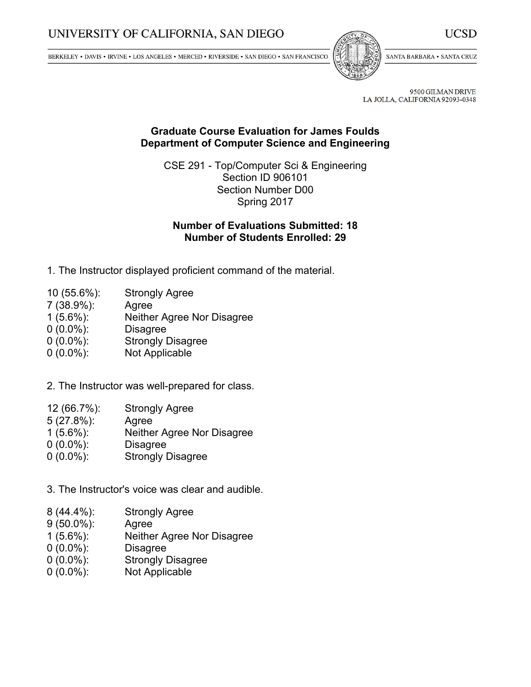BERKELEY • DAVIS • IRVINE • LOS ANGELES • MERCED • RIVERSIDE • SAN DIEGO • SAN FRANCISCO



SANTA BARBARA . SANTA CRUZ

9500 GILMAN DRIVE LA JOLLA, CALIFORNIA 92093-0348

## **Graduate Course Evaluation for James Foulds Department of Computer Science and Engineering**

CSE 291 - Top/Computer Sci & Engineering Section ID 906101 Section Number D00 Spring 2017

## **Number of Evaluations Submitted: 18 Number of Students Enrolled: 29**

- 1. The Instructor displayed proficient command of the material.
- 10 (55.6%): Strongly Agree
- 7 (38.9%): Agree
- 1 (5.6%): Neither Agree Nor Disagree
- 0 (0.0%): Disagree
- 0 (0.0%): Strongly Disagree
- 0 (0.0%): Not Applicable
- 2. The Instructor was well-prepared for class.
- 12 (66.7%): Strongly Agree
- 5 (27.8%): Agree
- 1 (5.6%): Neither Agree Nor Disagree
- 0 (0.0%): Disagree
- 0 (0.0%): Strongly Disagree
- 3. The Instructor's voice was clear and audible.
- 8 (44.4%): Strongly Agree
- 9 (50.0%): Agree
- 1 (5.6%): Neither Agree Nor Disagree
- 0 (0.0%): Disagree
- 0 (0.0%): Strongly Disagree
- 0 (0.0%): Not Applicable

UCSD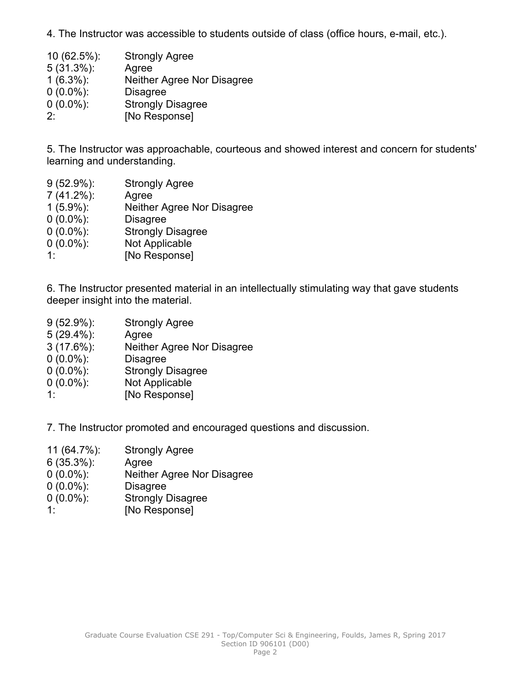4. The Instructor was accessible to students outside of class (office hours, e-mail, etc.).

| $10(62.5\%)$ : | <b>Strongly Agree</b>      |
|----------------|----------------------------|
| $5(31.3\%)$ :  | Agree                      |
| $1(6.3\%)$ :   | Neither Agree Nor Disagree |
| $0(0.0\%)$ :   | <b>Disagree</b>            |
| $0(0.0\%)$ :   | <b>Strongly Disagree</b>   |
| 2.             | [No Response]              |

5. The Instructor was approachable, courteous and showed interest and concern for students' learning and understanding.

 (52.9%): Strongly Agree (41.2%): Agree (5.9%): Neither Agree Nor Disagree (0.0%): Disagree (0.0%): Strongly Disagree (0.0%): Not Applicable 1: [No Response]

6. The Instructor presented material in an intellectually stimulating way that gave students deeper insight into the material.

- 9 (52.9%): Strongly Agree 5 (29.4%): Agree 3 (17.6%): Neither Agree Nor Disagree
- 0 (0.0%): Disagree
- 0 (0.0%): Strongly Disagree
- 0 (0.0%): Not Applicable
- 1: [No Response]

7. The Instructor promoted and encouraged questions and discussion.

- 11 (64.7%): Strongly Agree
- 6 (35.3%): Agree
- 0 (0.0%): Neither Agree Nor Disagree
- 0 (0.0%): Disagree
- 0 (0.0%): Strongly Disagree
- 1: [No Response]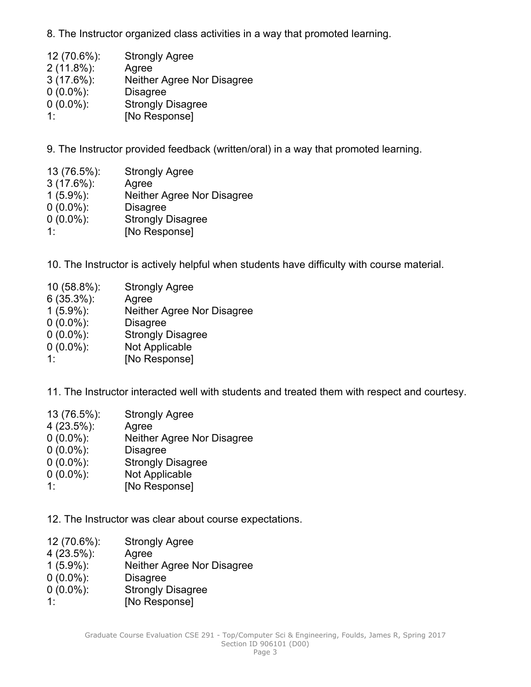8. The Instructor organized class activities in <sup>a</sup> way that promoted learning.

| 12 (70.6%):   | <b>Strongly Agree</b>      |
|---------------|----------------------------|
| $2(11.8\%)$ : | Agree                      |
| $3(17.6\%)$ : | Neither Agree Nor Disagree |
| $0(0.0\%)$ :  | <b>Disagree</b>            |
| $0(0.0\%)$ :  | <b>Strongly Disagree</b>   |
| 1.            | [No Response]              |

9. The Instructor provided feedback (written/oral) in <sup>a</sup> way that promoted learning.

| 13 (76.5%):   | <b>Strongly Agree</b>      |
|---------------|----------------------------|
| $3(17.6\%)$ : | Agree                      |
| $1(5.9\%)$ :  | Neither Agree Nor Disagree |
| $0(0.0\%)$ :  | <b>Disagree</b>            |
| $0(0.0\%)$ :  | <b>Strongly Disagree</b>   |
| 1.            | [No Response]              |

10. The Instructor is actively helpful when students have difficulty with course material.

| 10 (58.8%):   | <b>Strongly Agree</b>      |
|---------------|----------------------------|
| $6(35.3\%)$ : | Agree                      |
| $1(5.9\%)$ :  | Neither Agree Nor Disagree |
| $0(0.0\%)$ :  | <b>Disagree</b>            |
| $0(0.0\%)$ :  | <b>Strongly Disagree</b>   |
| $0(0.0\%)$ :  | Not Applicable             |
| 11            | [No Response]              |
|               |                            |

11. The Instructor interacted well with students and treated them with respect and courtesy.

| 13 (76.5%):   | <b>Strongly Agree</b>      |
|---------------|----------------------------|
| $4(23.5\%)$ : | Agree                      |
| $0(0.0\%)$ :  | Neither Agree Nor Disagree |
| $0(0.0\%)$ :  | <b>Disagree</b>            |
| $0(0.0\%)$ :  | <b>Strongly Disagree</b>   |
| $0(0.0\%)$ :  | Not Applicable             |
| 1.            | [No Response]              |
|               |                            |

12. The Instructor was clear about course expectations.

| <b>Strongly Agree</b>      |
|----------------------------|
| Agree                      |
| Neither Agree Nor Disagree |
| <b>Disagree</b>            |
| <b>Strongly Disagree</b>   |
| [No Response]              |
|                            |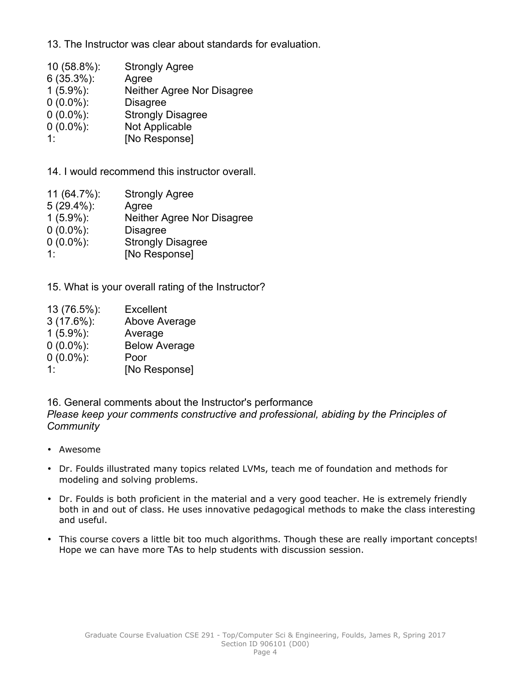13. The Instructor was clear about standards for evaluation.

| 10 (58.8%):   | <b>Strongly Agree</b>      |
|---------------|----------------------------|
| $6(35.3\%)$ : | Agree                      |
| $1(5.9\%)$ :  | Neither Agree Nor Disagree |
| $0(0.0\%)$ :  | <b>Disagree</b>            |
| $0(0.0\%)$ :  | <b>Strongly Disagree</b>   |
| $0(0.0\%)$ :  | Not Applicable             |
| 1:            | [No Response]              |

14. I would recommend this instructor overall.

| <b>Strongly Agree</b>      |
|----------------------------|
|                            |
| Neither Agree Nor Disagree |
|                            |
| <b>Strongly Disagree</b>   |
| [No Response]              |
|                            |

15. What is your overall rating of the Instructor?

| 13 (76.5%):   | <b>Excellent</b>     |
|---------------|----------------------|
| $3(17.6\%)$ : | Above Average        |
| $1(5.9\%)$ :  | Average              |
| $0(0.0\%)$ :  | <b>Below Average</b> |
| $0(0.0\%)$ :  | Poor                 |
| 1.            | [No Response]        |

16. General comments about the Instructor's performance *Please keep your comments constructive and professional, abiding by the Principles of Community*

- Awesome
- Dr. Foulds illustrated many topics related LVMs, teach me of foundation and methods for modeling and solving problems.
- Dr. Foulds is both proficient in the material and <sup>a</sup> very good teacher. He is extremely friendly both in and out of class. He uses innovative pedagogical methods to make the class interesting and useful.
- This course covers <sup>a</sup> little bit too much algorithms. Though these are really important concepts! Hope we can have more TAs to help students with discussion session.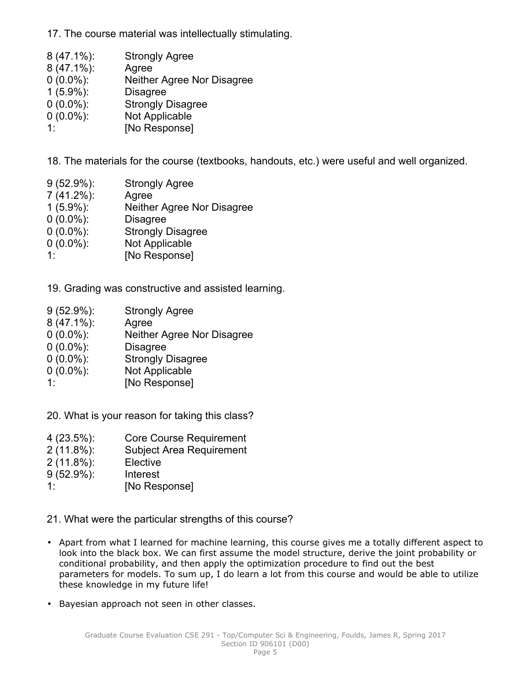17. The course material was intellectually stimulating.

| $8(47.1\%)$ : | <b>Strongly Agree</b>             |
|---------------|-----------------------------------|
| $8(47.1\%)$ : | Agree                             |
| $0(0.0\%)$ :  | <b>Neither Agree Nor Disagree</b> |
| $1(5.9\%)$ :  | <b>Disagree</b>                   |
| $0(0.0\%)$ :  | <b>Strongly Disagree</b>          |
| $0(0.0\%)$ :  | Not Applicable                    |
| 1.            | [No Response]                     |

18. The materials for the course (textbooks, handouts, etc.) were useful and well organized.

| $9(52.9\%)$ : | <b>Strongly Agree</b>      |
|---------------|----------------------------|
| $7(41.2\%)$ : | Agree                      |
| $1(5.9\%)$ :  | Neither Agree Nor Disagree |
| $0(0.0\%)$ :  | <b>Disagree</b>            |
| $0(0.0\%)$ :  | <b>Strongly Disagree</b>   |
| $0(0.0\%)$ :  | Not Applicable             |
| 1:            | [No Response]              |

19. Grading was constructive and assisted learning.

| $9(52.9\%)$ : | <b>Strongly Agree</b>      |
|---------------|----------------------------|
| 8 (47.1%):    | Agree                      |
| $0(0.0\%)$ :  | Neither Agree Nor Disagree |
| $0(0.0\%)$ :  | <b>Disagree</b>            |
| $0(0.0\%)$ :  | <b>Strongly Disagree</b>   |
| $0(0.0\%)$ :  | Not Applicable             |
| 11            | [No Response]              |
|               |                            |

20. What is your reason for taking this class?

- 4 (23.5%): Core Course Requirement
- 2 (11.8%): Subject Area Requirement
- 2 (11.8%): Elective
- 9 (52.9%): Interest
- 1: [No Response]
- 21. What were the particular strengths of this course?
- Apart from what I learned for machine learning, this course gives me <sup>a</sup> totally different aspect to look into the black box. We can first assume the model structure, derive the joint probability or conditional probability, and then apply the optimization procedure to find out the best parameters for models. To sum up, I do learn <sup>a</sup> lot from this course and would be able to utilize these knowledge in my future life!
- Bayesian approach not seen in other classes.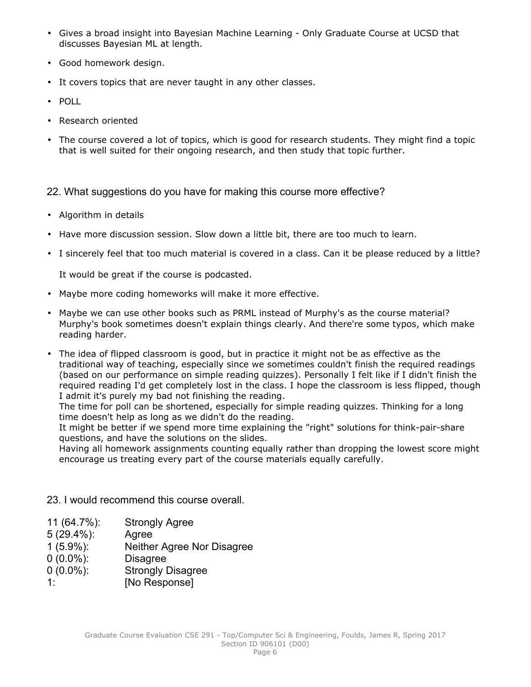- Gives <sup>a</sup> broad insight into Bayesian Machine Learning Only Graduate Course at UCSD that discusses Bayesian ML at length.
- Good homework design.
- It covers topics that are never taught in any other classes.
- POLL
- •Research oriented
- • The course covered <sup>a</sup> lot of topics, which is good for research students. They might find <sup>a</sup> topic that is well suited for their ongoing research, and then study that topic further.

22. What suggestions do you have for making this course more effective?

- Algorithm in details
- Have more discussion session. Slow down <sup>a</sup> little bit, there are too much to learn.
- I sincerely feel that too much material is covered in a class. Can it be please reduced by a little?

It would be great if the course is podcasted.

- Maybe more coding homeworks will make it more effective.
- Maybe we can use other books such as PRML instead of Murphy's as the course material? Murphy's book sometimes doesn't explain things clearly. And there're some typos, which make reading harder.
- The idea of flipped classroom is good, but in practice it might not be as effective as the traditional way of teaching, especially since we sometimes couldn't finish the required readings (based on our performance on simple reading quizzes). Personally I felt like if I didn't finish the required reading I'd get completely lost in the class. I hope the classroom is less flipped, though I admit it's purely my bad not finishing the reading.

The time for poll can be shortened, especially for simple reading quizzes. Thinking for <sup>a</sup> long time doesn't help as long as we didn't do the reading.

It might be better if we spend more time explaining the "right" solutions for think-pair-share questions, and have the solutions on the slides.

Having all homework assignments counting equally rather than dropping the lowest score might encourage us treating every part of the course materials equally carefully.

- 23. I would recommend this course overall.
- 11 (64.7%): Strongly Agree
- 5 (29.4%): Agree
- 1 (5.9%): Neither Agree Nor Disagree
- 0 (0.0%): Disagree
- 0 (0.0%): Strongly Disagree
- 1: [No Response]